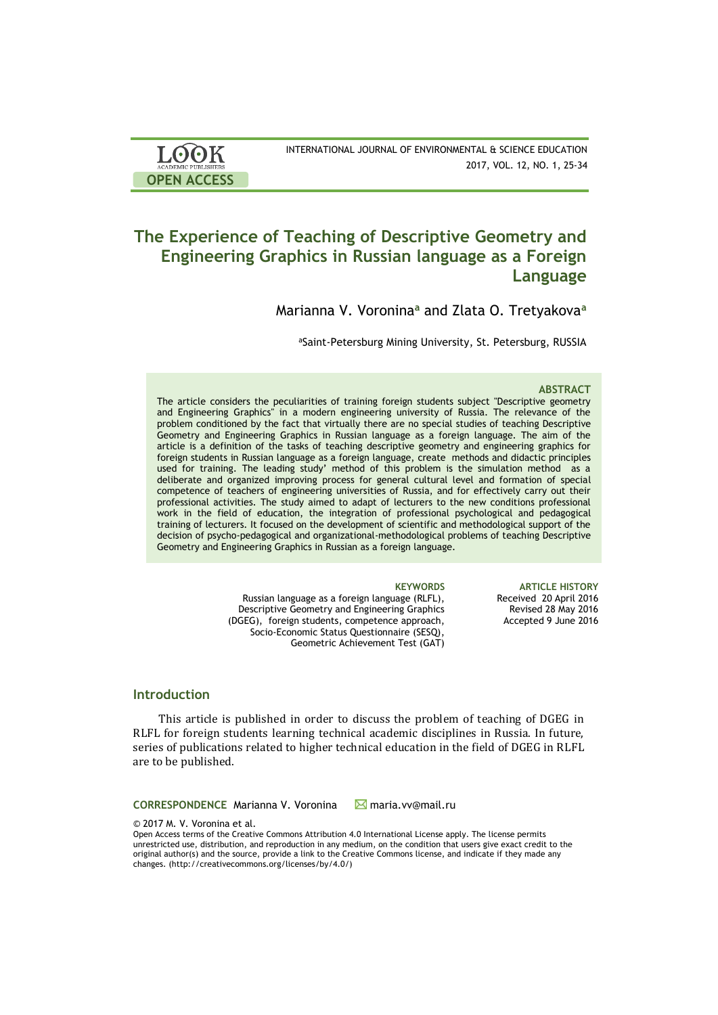| <b>LOOK</b>                | INTERNATIONAL JOURNAL OF ENVIRONMENTAL & SCIENCE EDUCATION |
|----------------------------|------------------------------------------------------------|
| <b>ACADEMIC PUBLISHERS</b> | 2017, VOL. 12, NO. 1, 25-34                                |
| <b>OPEN ACCESS</b>         |                                                            |

# **The Experience of Teaching of Descriptive Geometry and Engineering Graphics in Russian language as a Foreign Language**

Marianna V. Voronina**<sup>a</sup>** and Zlata O. Tretyakova**<sup>a</sup>**

aSaint-Petersburg Mining University, St. Petersburg, RUSSIA

### **ABSTRACT**

The article considers the peculiarities of training foreign students subject "Descriptive geometry and Engineering Graphics" in a modern engineering university of Russia. The relevance of the problem conditioned by the fact that virtually there are no special studies of teaching Descriptive Geometry and Engineering Graphics in Russian language as a foreign language. The aim of the article is a definition of the tasks of teaching descriptive geometry and engineering graphics for foreign students in Russian language as a foreign language, create methods and didactic principles used for training. The leading study' method of this problem is the simulation method as a deliberate and organized improving process for general cultural level and formation of special competence of teachers of engineering universities of Russia, and for effectively carry out their professional activities. The study aimed to adapt of lecturers to the new conditions professional work in the field of education, the integration of professional psychological and pedagogical training of lecturers. It focused on the development of scientific and methodological support of the decision of psycho-pedagogical and organizational-methodological problems of teaching Descriptive Geometry and Engineering Graphics in Russian as a foreign language.

> Russian language as a foreign language (RLFL), Descriptive Geometry and Engineering Graphics (DGEG), foreign students, competence approach, Socio-Economic Status Questionnaire (SESQ), Geometric Achievement Test (GAT)

**KEYWORDS ARTICLE HISTORY** Received 20 April 2016 Revised 28 May 2016 Accepted 9 June 2016

### **Introduction**

This article is published in order to discuss the problem of teaching of DGEG in RLFL for foreign students learning technical academic disciplines in Russia. In future, series of publications related to higher technical education in the field of DGEG in RLFL are to be published.

**CORRESPONDENCE** Marianna V. Voronina **M** maria.vv@mail.ru

© 2017 M. V. Voronina et al.

Open Access terms of the Creative Commons Attribution 4.0 International License apply. The license permits unrestricted use, distribution, and reproduction in any medium, on the condition that users give exact credit to the original author(s) and the source, provide a link to the Creative Commons license, and indicate if they made any changes. (http://creativecommons.org/licenses/by/4.0/)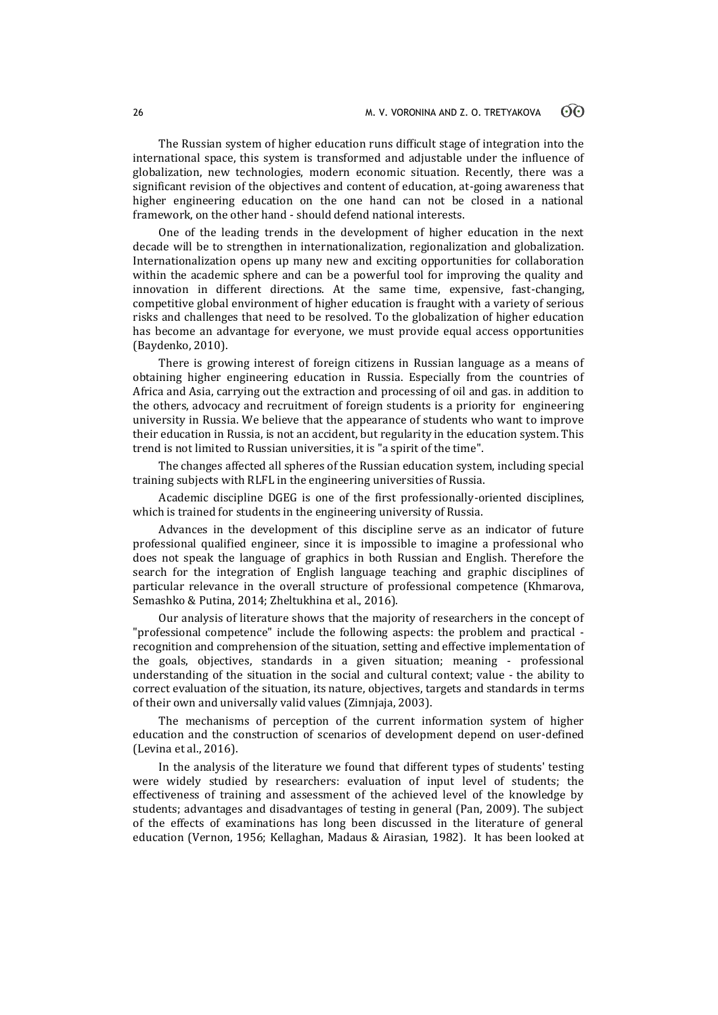The Russian system of higher education runs difficult stage of integration into the international space, this system is transformed and adjustable under the influence of globalization, new technologies, modern economic situation. Recently, there was a significant revision of the objectives and content of education, at-going awareness that higher engineering education on the one hand can not be closed in a national framework, on the other hand - should defend national interests.

One of the leading trends in the development of higher education in the next decade will be to strengthen in internationalization, regionalization and globalization. Internationalization opens up many new and exciting opportunities for collaboration within the academic sphere and can be a powerful tool for improving the quality and innovation in different directions. At the same time, expensive, fast-changing, competitive global environment of higher education is fraught with a variety of serious risks and challenges that need to be resolved. To the globalization of higher education has become an advantage for everyone, we must provide equal access opportunities (Baydenko, 2010).

There is growing interest of foreign citizens in Russian language as a means of obtaining higher engineering education in Russia. Especially from the countries of Africa and Asia, carrying out the extraction and processing of oil and gas. in addition to the others, advocacy and recruitment of foreign students is a priority for engineering university in Russia. We believe that the appearance of students who want to improve their education in Russia, is not an accident, but regularity in the education system. This trend is not limited to Russian universities, it is "a spirit of the time".

The changes affected all spheres of the Russian education system, including special training subjects with RLFL in the engineering universities of Russia.

Academic discipline DGEG is one of the first professionally-oriented disciplines, which is trained for students in the engineering university of Russia.

Advances in the development of this discipline serve as an indicator of future professional qualified engineer, since it is impossible to imagine a professional who does not speak the language of graphics in both Russian and English. Therefore the search for the integration of English language teaching and graphic disciplines of particular relevance in the overall structure of professional competence (Khmarova, Semashko & Putina, 2014; Zheltukhina et al., 2016).

Our analysis of literature shows that the majority of researchers in the concept of "professional competence" include the following aspects: the problem and practical recognition and comprehension of the situation, setting and effective implementation of the goals, objectives, standards in a given situation; meaning - professional understanding of the situation in the social and cultural context; value - the ability to correct evaluation of the situation, its nature, objectives, targets and standards in terms of their own and universally valid values (Zimnjaja, 2003).

The mechanisms of perception of the current information system of higher education and the construction of scenarios of development depend on user-defined (Levina et al., 2016).

In the analysis of the literature we found that different types of students' testing were widely studied by researchers: evaluation of input level of students; the effectiveness of training and assessment of the achieved level of the knowledge by students; advantages and disadvantages of testing in general (Pan, 2009). The subject of the effects of examinations has long been discussed in the literature of general education (Vernon, 1956; Kellaghan, Madaus & Airasian, 1982). It has been looked at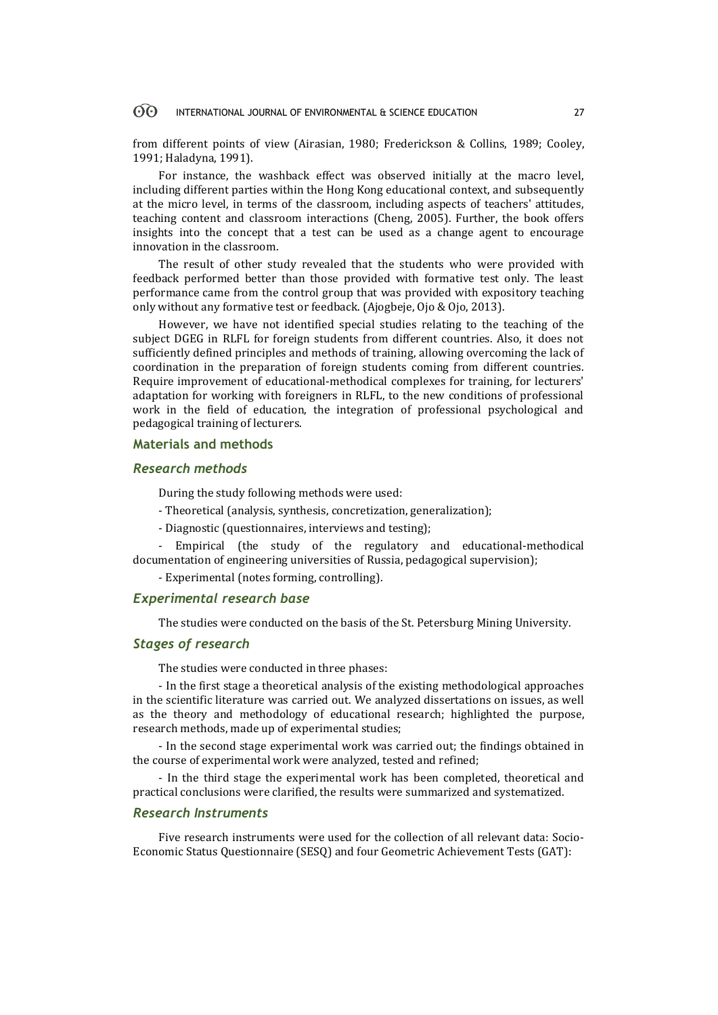#### 60 INTERNATIONAL JOURNAL OF ENVIRONMENTAL & SCIENCE EDUCATION 27

from different points of view (Airasian, 1980; Frederickson & Collins, 1989; Cooley, 1991; Haladyna, 1991).

For instance, the washback effect was observed initially at the macro level, including different parties within the Hong Kong educational context, and subsequently at the micro level, in terms of the classroom, including aspects of teachers' attitudes, teaching content and classroom interactions (Cheng, 2005). Further, the book offers insights into the concept that a test can be used as a change agent to encourage innovation in the classroom.

The result of other study revealed that the students who were provided with feedback performed better than those provided with formative test only. The least performance came from the control group that was provided with expository teaching only without any formative test or feedback. (Ajogbeje, Ojo & Ojo, 2013).

However, we have not identified special studies relating to the teaching of the subject DGEG in RLFL for foreign students from different countries. Also, it does not sufficiently defined principles and methods of training, allowing overcoming the lack of coordination in the preparation of foreign students coming from different countries. Require improvement of educational-methodical complexes for training, for lecturers' adaptation for working with foreigners in RLFL, to the new conditions of professional work in the field of education, the integration of professional psychological and pedagogical training of lecturers.

## **Materials and methods**

### *Research methods*

During the study following methods were used:

- Theoretical (analysis, synthesis, concretization, generalization);
- Diagnostic (questionnaires, interviews and testing);

- Empirical (the study of the regulatory and educational-methodical documentation of engineering universities of Russia, pedagogical supervision);

- Experimental (notes forming, controlling).

### *Experimental research base*

The studies were conducted on the basis of the St. Petersburg Mining University.

### *Stages of research*

The studies were conducted in three phases:

- In the first stage a theoretical analysis of the existing methodological approaches in the scientific literature was carried out. We analyzed dissertations on issues, as well as the theory and methodology of educational research; highlighted the purpose, research methods, made up of experimental studies;

- In the second stage experimental work was carried out; the findings obtained in the course of experimental work were analyzed, tested and refined;

- In the third stage the experimental work has been completed, theoretical and practical conclusions were clarified, the results were summarized and systematized.

### *Research Instruments*

Five research instruments were used for the collection of all relevant data: Socio-Economic Status Questionnaire (SESQ) and four Geometric Achievement Tests (GAT):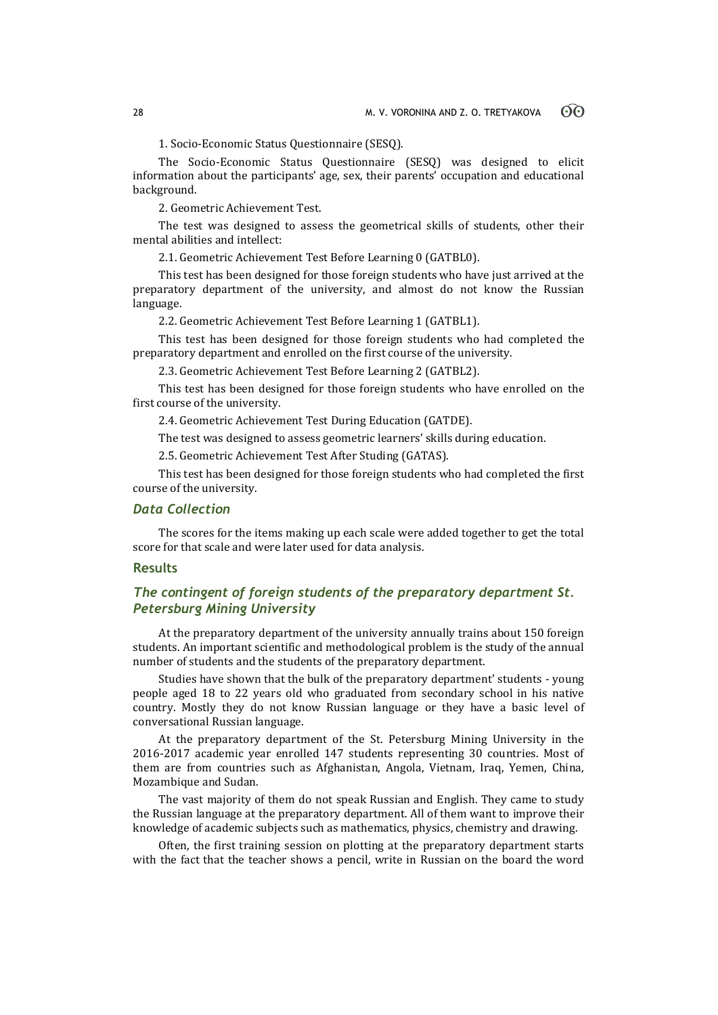1. Socio-Economic Status Questionnaire (SESQ).

The Socio-Economic Status Questionnaire (SESQ) was designed to elicit information about the participants' age, sex, their parents' occupation and educational background.

2. Geometric Achievement Test.

The test was designed to assess the geometrical skills of students, other their mental abilities and intellect:

2.1. Geometric Achievement Test Before Learning 0 (GATBL0).

This test has been designed for those foreign students who have just arrived at the preparatory department of the university, and almost do not know the Russian language.

2.2. Geometric Achievement Test Before Learning 1 (GATBL1).

This test has been designed for those foreign students who had completed the preparatory department and enrolled on the first course of the university.

2.3. Geometric Achievement Test Before Learning 2 (GATBL2).

This test has been designed for those foreign students who have enrolled on the first course of the university.

2.4. Geometric Achievement Test During Education (GATDE).

The test was designed to assess geometric learners' skills during education.

2.5. Geometric Achievement Test After Studing (GATAS).

This test has been designed for those foreign students who had completed the first course of the university.

## *Data Collection*

The scores for the items making up each scale were added together to get the total score for that scale and were later used for data analysis.

### **Results**

## *The contingent of foreign students of the preparatory department St. Petersburg Mining University*

At the preparatory department of the university annually trains about 150 foreign students. An important scientific and methodological problem is the study of the annual number of students and the students of the preparatory department.

Studies have shown that the bulk of the preparatory department' students - young people aged 18 to 22 years old who graduated from secondary school in his native country. Mostly they do not know Russian language or they have a basic level of conversational Russian language.

At the preparatory department of the St. Petersburg Mining University in the 2016-2017 academic year enrolled 147 students representing 30 countries. Most of them are from countries such as Afghanistan, Angola, Vietnam, Iraq, Yemen, China, Mozambique and Sudan.

The vast majority of them do not speak Russian and English. They came to study the Russian language at the preparatory department. All of them want to improve their knowledge of academic subjects such as mathematics, physics, chemistry and drawing.

Often, the first training session on plotting at the preparatory department starts with the fact that the teacher shows a pencil, write in Russian on the board the word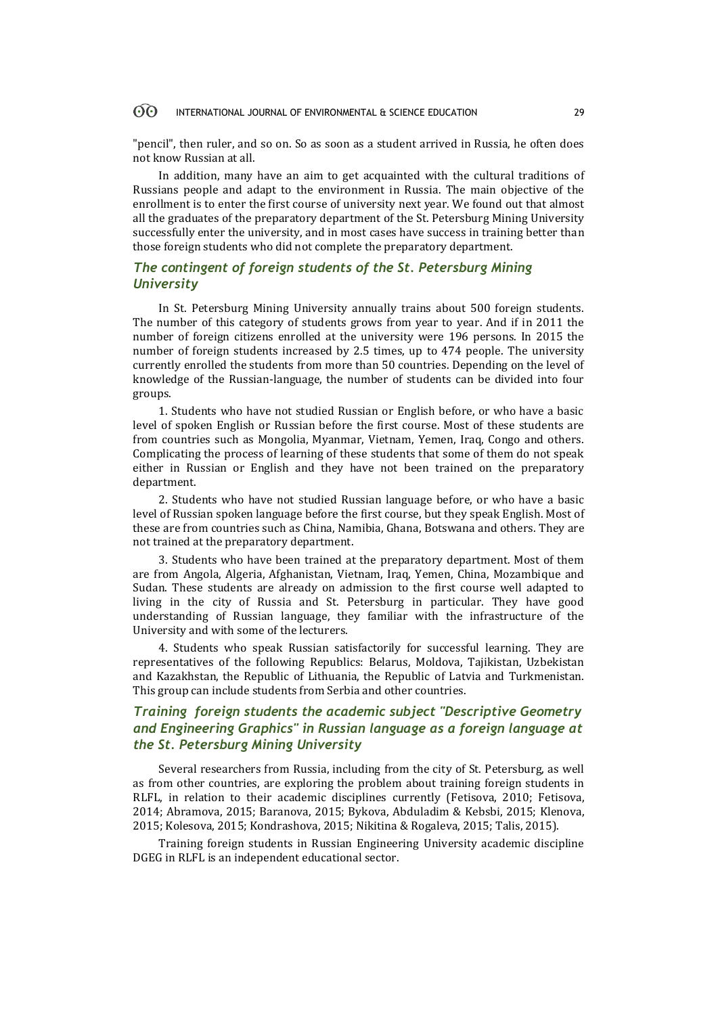#### 60 INTERNATIONAL JOURNAL OF ENVIRONMENTAL & SCIENCE EDUCATION 29

"pencil", then ruler, and so on. So as soon as a student arrived in Russia, he often does not know Russian at all.

In addition, many have an aim to get acquainted with the cultural traditions of Russians people and adapt to the environment in Russia. The main objective of the enrollment is to enter the first course of university next year. We found out that almost all the graduates of the preparatory department of the St. Petersburg Mining University successfully enter the university, and in most cases have success in training better than those foreign students who did not complete the preparatory department.

## *The contingent of foreign students of the St. Petersburg Mining University*

In St. Petersburg Mining University annually trains about 500 foreign students. The number of this category of students grows from year to year. And if in 2011 the number of foreign citizens enrolled at the university were 196 persons. In 2015 the number of foreign students increased by 2.5 times, up to 474 people. The university currently enrolled the students from more than 50 countries. Depending on the level of knowledge of the Russian-language, the number of students can be divided into four groups.

1. Students who have not studied Russian or English before, or who have a basic level of spoken English or Russian before the first course. Most of these students are from countries such as Mongolia, Myanmar, Vietnam, Yemen, Iraq, Congo and others. Complicating the process of learning of these students that some of them do not speak either in Russian or English and they have not been trained on the preparatory department.

2. Students who have not studied Russian language before, or who have a basic level of Russian spoken language before the first course, but they speak English. Most of these are from countries such as China, Namibia, Ghana, Botswana and others. They are not trained at the preparatory department.

3. Students who have been trained at the preparatory department. Most of them are from Angola, Algeria, Afghanistan, Vietnam, Iraq, Yemen, China, Mozambique and Sudan. These students are already on admission to the first course well adapted to living in the city of Russia and St. Petersburg in particular. They have good understanding of Russian language, they familiar with the infrastructure of the University and with some of the lecturers.

4. Students who speak Russian satisfactorily for successful learning. They are representatives of the following Republics: Belarus, Moldova, Tajikistan, Uzbekistan and Kazakhstan, the Republic of Lithuania, the Republic of Latvia and Turkmenistan. This group can include students from Serbia and other countries.

## *Training foreign students the academic subject "Descriptive Geometry and Engineering Graphics" in Russian language as a foreign language at the St. Petersburg Mining University*

Several researchers from Russia, including from the city of St. Petersburg, as well as from other countries, are exploring the problem about training foreign students in RLFL, in relation to their academic disciplines currently (Fetisova, 2010; Fetisova, 2014; Abramova, 2015; Baranova, 2015; Bykova, Abduladim & Kebsbi, 2015; Klenova, 2015; Kolesova, 2015; Kondrashova, 2015; Nikitina & Rogaleva, 2015; Talis, 2015).

Training foreign students in Russian Engineering University academic discipline DGEG in RLFL is an independent educational sector.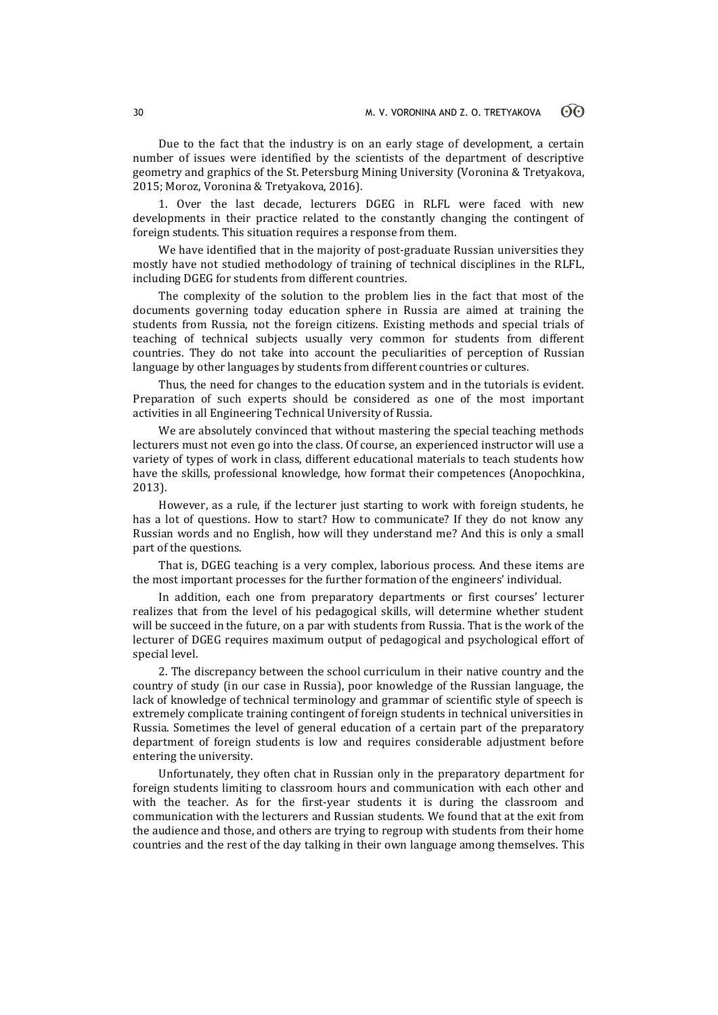Due to the fact that the industry is on an early stage of development, a certain number of issues were identified by the scientists of the department of descriptive geometry and graphics of the St. Petersburg Mining University (Voronina & Tretyakova, 2015; Moroz, Voronina & Tretyakova, 2016).

1. Over the last decade, lecturers DGEG in RLFL were faced with new developments in their practice related to the constantly changing the contingent of foreign students. This situation requires a response from them.

We have identified that in the majority of post-graduate Russian universities they mostly have not studied methodology of training of technical disciplines in the RLFL, including DGEG for students from different countries.

The complexity of the solution to the problem lies in the fact that most of the documents governing today education sphere in Russia are aimed at training the students from Russia, not the foreign citizens. Existing methods and special trials of teaching of technical subjects usually very common for students from different countries. They do not take into account the peculiarities of perception of Russian language by other languages by students from different countries or cultures.

Thus, the need for changes to the education system and in the tutorials is evident. Preparation of such experts should be considered as one of the most important activities in all Engineering Technical University of Russia.

We are absolutely convinced that without mastering the special teaching methods lecturers must not even go into the class. Of course, an experienced instructor will use a variety of types of work in class, different educational materials to teach students how have the skills, professional knowledge, how format their competences (Anopochkina, 2013).

However, as a rule, if the lecturer just starting to work with foreign students, he has a lot of questions. How to start? How to communicate? If they do not know any Russian words and no English, how will they understand me? And this is only a small part of the questions.

That is, DGEG teaching is a very complex, laborious process. And these items are the most important processes for the further formation of the engineers' individual.

In addition, each one from preparatory departments or first courses' lecturer realizes that from the level of his pedagogical skills, will determine whether student will be succeed in the future, on a par with students from Russia. That is the work of the lecturer of DGEG requires maximum output of pedagogical and psychological effort of special level.

2. The discrepancy between the school curriculum in their native country and the country of study (in our case in Russia), poor knowledge of the Russian language, the lack of knowledge of technical terminology and grammar of scientific style of speech is extremely complicate training contingent of foreign students in technical universities in Russia. Sometimes the level of general education of a certain part of the preparatory department of foreign students is low and requires considerable adjustment before entering the university.

Unfortunately, they often chat in Russian only in the preparatory department for foreign students limiting to classroom hours and communication with each other and with the teacher. As for the first-year students it is during the classroom and communication with the lecturers and Russian students. We found that at the exit from the audience and those, and others are trying to regroup with students from their home countries and the rest of the day talking in their own language among themselves. This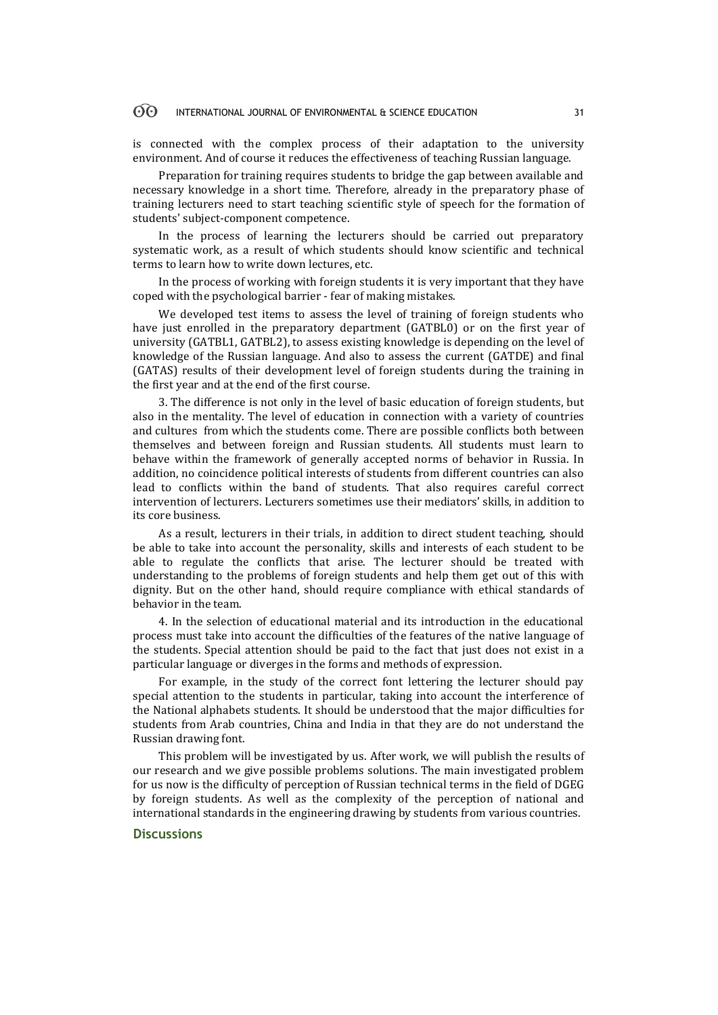#### 60 INTERNATIONAL JOURNAL OF ENVIRONMENTAL & SCIENCE EDUCATION 31

is connected with the complex process of their adaptation to the university environment. And of course it reduces the effectiveness of teaching Russian language.

Preparation for training requires students to bridge the gap between available and necessary knowledge in a short time. Therefore, already in the preparatory phase of training lecturers need to start teaching scientific style of speech for the formation of students' subject-component competence.

In the process of learning the lecturers should be carried out preparatory systematic work, as a result of which students should know scientific and technical terms to learn how to write down lectures, etc.

In the process of working with foreign students it is very important that they have coped with the psychological barrier - fear of making mistakes.

We developed test items to assess the level of training of foreign students who have just enrolled in the preparatory department (GATBL0) or on the first year of university (GATBL1, GATBL2), to assess existing knowledge is depending on the level of knowledge of the Russian language. And also to assess the current (GATDE) and final (GATAS) results of their development level of foreign students during the training in the first year and at the end of the first course.

3. The difference is not only in the level of basic education of foreign students, but also in the mentality. The level of education in connection with a variety of countries and cultures from which the students come. There are possible conflicts both between themselves and between foreign and Russian students. All students must learn to behave within the framework of generally accepted norms of behavior in Russia. In addition, no coincidence political interests of students from different countries can also lead to conflicts within the band of students. That also requires careful correct intervention of lecturers. Lecturers sometimes use their mediators' skills, in addition to its core business.

As a result, lecturers in their trials, in addition to direct student teaching, should be able to take into account the personality, skills and interests of each student to be able to regulate the conflicts that arise. The lecturer should be treated with understanding to the problems of foreign students and help them get out of this with dignity. But on the other hand, should require compliance with ethical standards of behavior in the team.

4. In the selection of educational material and its introduction in the educational process must take into account the difficulties of the features of the native language of the students. Special attention should be paid to the fact that just does not exist in a particular language or diverges in the forms and methods of expression.

For example, in the study of the correct font lettering the lecturer should pay special attention to the students in particular, taking into account the interference of the National alphabets students. It should be understood that the major difficulties for students from Arab countries, China and India in that they are do not understand the Russian drawing font.

This problem will be investigated by us. After work, we will publish the results of our research and we give possible problems solutions. The main investigated problem for us now is the difficulty of perception of Russian technical terms in the field of DGEG by foreign students. As well as the complexity of the perception of national and international standards in the engineering drawing by students from various countries.

### **Discussions**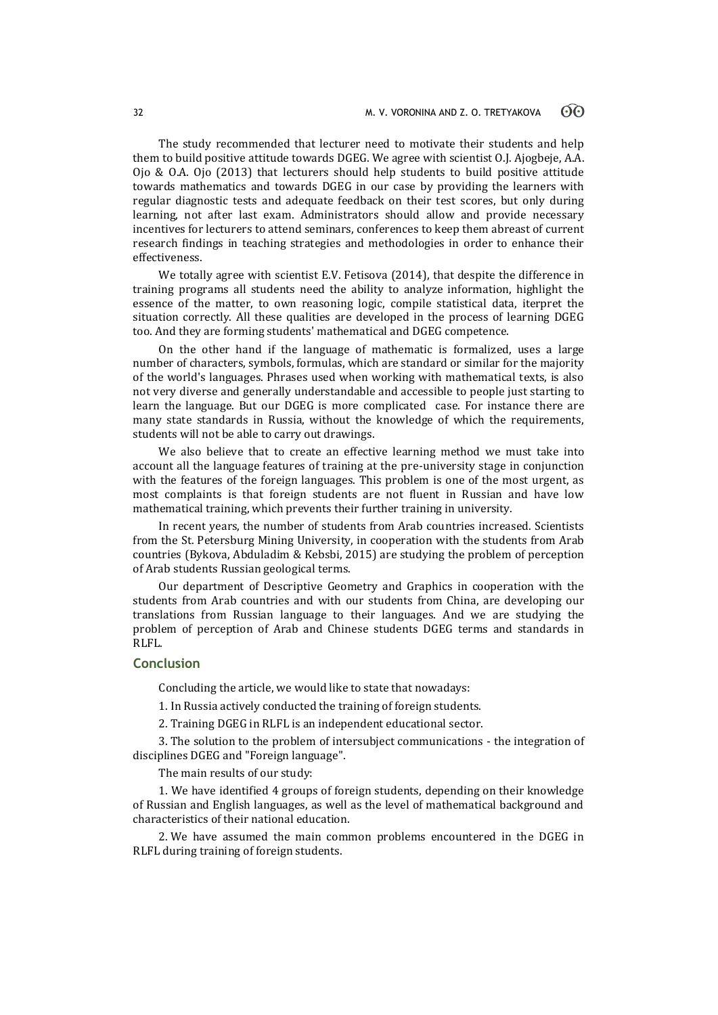The study recommended that lecturer need to motivate their students and help them to build positive attitude towards DGEG. We agree with scientist O.J. Ajogbeje, A.A. Ojo & O.A. Ojo (2013) that lecturers should help students to build positive attitude towards mathematics and towards DGEG in our case by providing the learners with regular diagnostic tests and adequate feedback on their test scores, but only during learning, not after last exam. Administrators should allow and provide necessary incentives for lecturers to attend seminars, conferences to keep them abreast of current research findings in teaching strategies and methodologies in order to enhance their effectiveness.

We totally agree with scientist E.V. Fetisova (2014), that despite the difference in training programs all students need the ability to analyze information, highlight the essence of the matter, to own reasoning logic, compile statistical data, iterpret the situation correctly. All these qualities are developed in the process of learning DGEG too. And they are forming students' mathematical and DGEG competence.

On the other hand if the language of mathematic is formalized, uses a large number of characters, symbols, formulas, which are standard or similar for the majority of the world's languages. Phrases used when working with mathematical texts, is also not very diverse and generally understandable and accessible to people just starting to learn the language. But our DGEG is more complicated case. For instance there are many state standards in Russia, without the knowledge of which the requirements, students will not be able to carry out drawings.

We also believe that to create an effective learning method we must take into account all the language features of training at the pre-university stage in conjunction with the features of the foreign languages. This problem is one of the most urgent, as most complaints is that foreign students are not fluent in Russian and have low mathematical training, which prevents their further training in university.

In recent years, the number of students from Arab countries increased. Scientists from the St. Petersburg Mining University, in cooperation with the students from Arab countries (Bykova, Abduladim & Kebsbi, 2015) are studying the problem of perception of Arab students Russian geological terms.

Our department of Descriptive Geometry and Graphics in cooperation with the students from Arab countries and with our students from China, are developing our translations from Russian language to their languages. And we are studying the problem of perception of Arab and Chinese students DGEG terms and standards in RLFL.

### **Conclusion**

Concluding the article, we would like to state that nowadays:

1. In Russia actively conducted the training of foreign students.

2. Training DGEG in RLFL is an independent educational sector.

3. The solution to the problem of intersubject communications - the integration of disciplines DGEG and "Foreign language".

The main results of our study:

1. We have identified 4 groups of foreign students, depending on their knowledge of Russian and English languages, as well as the level of mathematical background and characteristics of their national education.

2. We have assumed the main common problems encountered in the DGEG in RLFL during training of foreign students.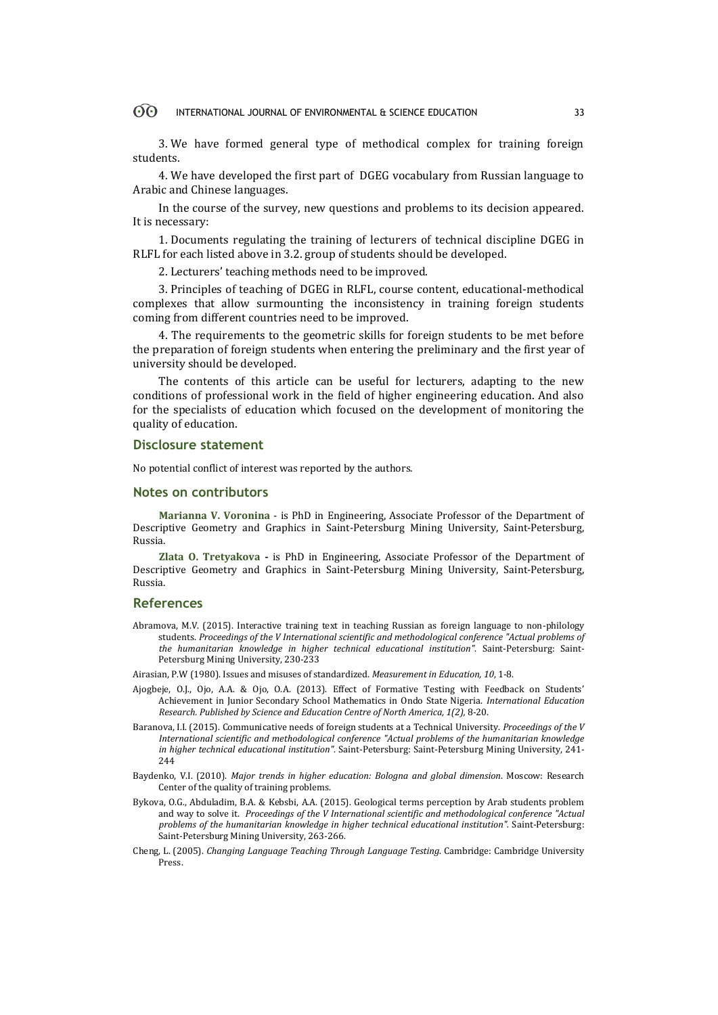#### $\Theta$ INTERNATIONAL JOURNAL OF ENVIRONMENTAL & SCIENCE EDUCATION 33

3. We have formed general type of methodical complex for training foreign students.

4. We have developed the first part of DGEG vocabulary from Russian language to Arabic and Chinese languages.

In the course of the survey, new questions and problems to its decision appeared. It is necessary:

1. Documents regulating the training of lecturers of technical discipline DGEG in RLFL for each listed above in 3.2. group of students should be developed.

2. Lecturers' teaching methods need to be improved.

3. Principles of teaching of DGEG in RLFL, course content, educational-methodical complexes that allow surmounting the inconsistency in training foreign students coming from different countries need to be improved.

4. The requirements to the geometric skills for foreign students to be met before the preparation of foreign students when entering the preliminary and the first year of university should be developed.

The contents of this article can be useful for lecturers, adapting to the new conditions of professional work in the field of higher engineering education. And also for the specialists of education which focused on the development of monitoring the quality of education.

### **Disclosure statement**

No potential conflict of interest was reported by the authors.

### **Notes on contributors**

**Marianna V. Voronina** - is PhD in Engineering, Associate Professor of the Department of Descriptive Geometry and Graphics in Saint-Petersburg Mining University, Saint-Petersburg, Russia.

**Zlata O. Tretyakova -** is PhD in Engineering, Associate Professor of the Department of Descriptive Geometry and Graphics in Saint-Petersburg Mining University, Saint-Petersburg, Russia.

### **References**

Abramova, M.V. (2015). Interactive training text in teaching Russian as foreign language to non-philology students. *Proceedings of the V International scientific and methodological conference "Actual problems of the humanitarian knowledge in higher technical educational institution"*. Saint-Petersburg: Saint-Petersburg Mining University, 230-233

Airasian, P.W (1980). Issues and misuses of standardized. *Measurement in Education, 10*, 1-8.

- Ajogbeje, O.J., Ojo, A.A. & Ojo, O.A. (2013). Effect of Formative Testing with Feedback on Students' Achievement in Junior Secondary School Mathematics in Ondo State Nigeria. *International Education Research. Published by Science and Education Centre of North America, 1(2),* 8-20.
- Baranova, I.I. (2015). Communicative needs of foreign students at a Technical University. *Proceedings of the V International scientific and methodological conference "Actual problems of the humanitarian knowledge in higher technical educational institution"*. Saint-Petersburg: Saint-Petersburg Mining University, 241- 244
- Baydenko, V.I. (2010). *Major trends in higher education: Bologna and global dimension*. Moscow: Research Center of the quality of training problems.
- Bykova, O.G., Abduladim, B.A. & Kebsbi, A.A. (2015). Geological terms perception by Arab students problem and way to solve it. *Proceedings of the V International scientific and methodological conference "Actual problems of the humanitarian knowledge in higher technical educational institution".* Saint-Petersburg: Saint-Petersburg Mining University, 263-266.
- Cheng, L. (2005). *Changing Language Teaching Through Language Testing*. Cambridge: Cambridge University Press.